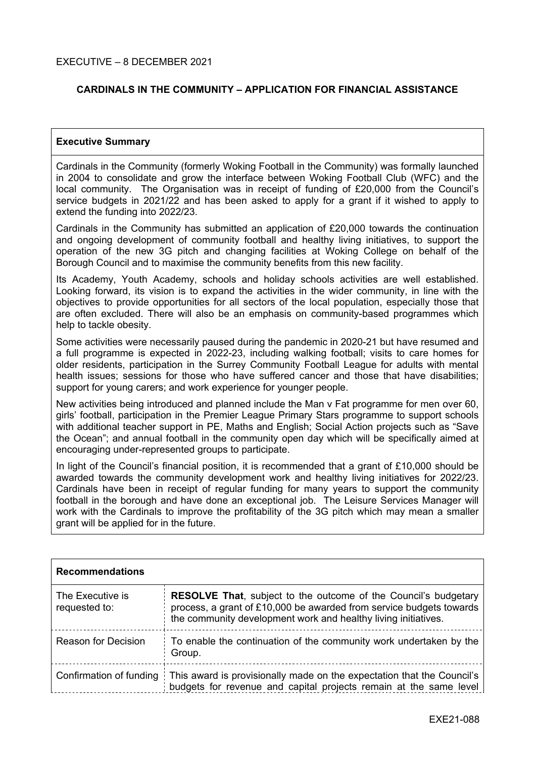### **CARDINALS IN THE COMMUNITY – APPLICATION FOR FINANCIAL ASSISTANCE**

#### **Executive Summary**

Cardinals in the Community (formerly Woking Football in the Community) was formally launched in 2004 to consolidate and grow the interface between Woking Football Club (WFC) and the local community. The Organisation was in receipt of funding of £20,000 from the Council's service budgets in 2021/22 and has been asked to apply for a grant if it wished to apply to extend the funding into 2022/23.

Cardinals in the Community has submitted an application of £20,000 towards the continuation and ongoing development of community football and healthy living initiatives, to support the operation of the new 3G pitch and changing facilities at Woking College on behalf of the Borough Council and to maximise the community benefits from this new facility.

Its Academy, Youth Academy, schools and holiday schools activities are well established. Looking forward, its vision is to expand the activities in the wider community, in line with the objectives to provide opportunities for all sectors of the local population, especially those that are often excluded. There will also be an emphasis on community-based programmes which help to tackle obesity.

Some activities were necessarily paused during the pandemic in 2020-21 but have resumed and a full programme is expected in 2022-23, including walking football; visits to care homes for older residents, participation in the Surrey Community Football League for adults with mental health issues; sessions for those who have suffered cancer and those that have disabilities; support for young carers; and work experience for younger people.

New activities being introduced and planned include the Man v Fat programme for men over 60, girls' football, participation in the Premier League Primary Stars programme to support schools with additional teacher support in PE, Maths and English; Social Action projects such as "Save the Ocean"; and annual football in the community open day which will be specifically aimed at encouraging under-represented groups to participate.

In light of the Council's financial position, it is recommended that a grant of £10,000 should be awarded towards the community development work and healthy living initiatives for 2022/23. Cardinals have been in receipt of regular funding for many years to support the community football in the borough and have done an exceptional job. The Leisure Services Manager will work with the Cardinals to improve the profitability of the 3G pitch which may mean a smaller grant will be applied for in the future.

| <b>Recommendations</b>            |                                                                                                                                                                                                                 |  |
|-----------------------------------|-----------------------------------------------------------------------------------------------------------------------------------------------------------------------------------------------------------------|--|
| The Executive is<br>requested to: | <b>RESOLVE That, subject to the outcome of the Council's budgetary</b><br>process, a grant of £10,000 be awarded from service budgets towards<br>the community development work and healthy living initiatives. |  |
| <b>Reason for Decision</b>        | To enable the continuation of the community work undertaken by the<br>Group.                                                                                                                                    |  |
|                                   | Confirmation of funding   This award is provisionally made on the expectation that the Council's<br>budgets for revenue and capital projects remain at the same level                                           |  |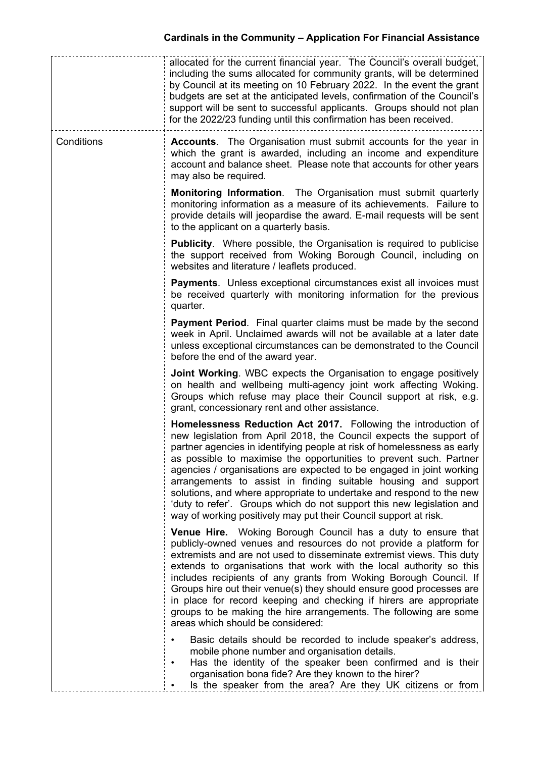|            | allocated for the current financial year. The Council's overall budget,<br>including the sums allocated for community grants, will be determined<br>by Council at its meeting on 10 February 2022. In the event the grant<br>budgets are set at the anticipated levels, confirmation of the Council's<br>support will be sent to successful applicants. Groups should not plan<br>for the 2022/23 funding until this confirmation has been received.                                                                                                                                                                                                  |
|------------|-------------------------------------------------------------------------------------------------------------------------------------------------------------------------------------------------------------------------------------------------------------------------------------------------------------------------------------------------------------------------------------------------------------------------------------------------------------------------------------------------------------------------------------------------------------------------------------------------------------------------------------------------------|
| Conditions | <b>Accounts.</b> The Organisation must submit accounts for the year in<br>which the grant is awarded, including an income and expenditure<br>account and balance sheet. Please note that accounts for other years<br>may also be required.                                                                                                                                                                                                                                                                                                                                                                                                            |
|            | <b>Monitoring Information.</b> The Organisation must submit quarterly<br>monitoring information as a measure of its achievements. Failure to<br>provide details will jeopardise the award. E-mail requests will be sent<br>to the applicant on a quarterly basis.                                                                                                                                                                                                                                                                                                                                                                                     |
|            | <b>Publicity.</b> Where possible, the Organisation is required to publicise<br>the support received from Woking Borough Council, including on<br>websites and literature / leaflets produced.                                                                                                                                                                                                                                                                                                                                                                                                                                                         |
|            | <b>Payments.</b> Unless exceptional circumstances exist all invoices must<br>be received quarterly with monitoring information for the previous<br>quarter.                                                                                                                                                                                                                                                                                                                                                                                                                                                                                           |
|            | <b>Payment Period.</b> Final quarter claims must be made by the second<br>week in April. Unclaimed awards will not be available at a later date<br>unless exceptional circumstances can be demonstrated to the Council<br>before the end of the award year.                                                                                                                                                                                                                                                                                                                                                                                           |
|            | <b>Joint Working.</b> WBC expects the Organisation to engage positively<br>on health and wellbeing multi-agency joint work affecting Woking.<br>Groups which refuse may place their Council support at risk, e.g.<br>grant, concessionary rent and other assistance.                                                                                                                                                                                                                                                                                                                                                                                  |
|            | Homelessness Reduction Act 2017. Following the introduction of<br>new legislation from April 2018, the Council expects the support of<br>partner agencies in identifying people at risk of homelessness as early<br>as possible to maximise the opportunities to prevent such. Partner<br>agencies / organisations are expected to be engaged in joint working<br>arrangements to assist in finding suitable housing and support<br>solutions, and where appropriate to undertake and respond to the new<br>'duty to refer'. Groups which do not support this new legislation and<br>way of working positively may put their Council support at risk. |
|            | <b>Venue Hire.</b> Woking Borough Council has a duty to ensure that<br>publicly-owned venues and resources do not provide a platform for<br>extremists and are not used to disseminate extremist views. This duty<br>extends to organisations that work with the local authority so this<br>includes recipients of any grants from Woking Borough Council. If<br>Groups hire out their venue(s) they should ensure good processes are<br>in place for record keeping and checking if hirers are appropriate<br>groups to be making the hire arrangements. The following are some<br>areas which should be considered:                                 |
|            | Basic details should be recorded to include speaker's address,<br>mobile phone number and organisation details.<br>Has the identity of the speaker been confirmed and is their<br>٠<br>organisation bona fide? Are they known to the hirer?<br>Is the speaker from the area? Are they UK citizens or from                                                                                                                                                                                                                                                                                                                                             |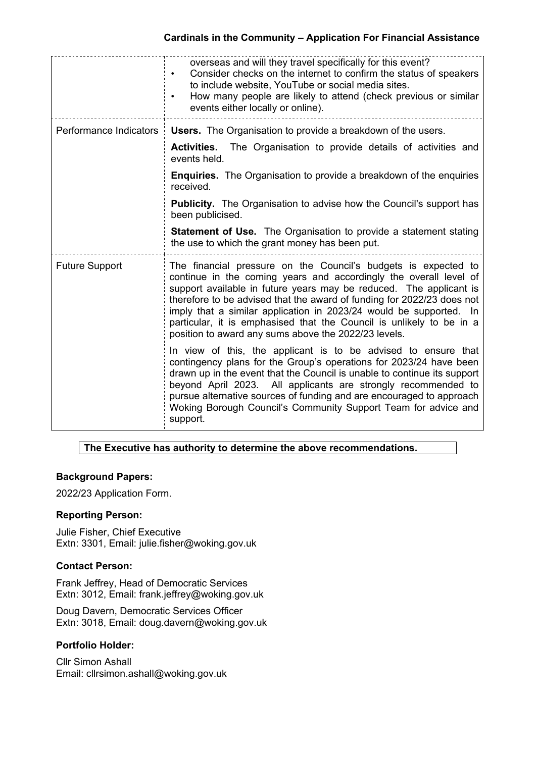# **Cardinals in the Community – Application For Financial Assistance**

|                        | overseas and will they travel specifically for this event?<br>Consider checks on the internet to confirm the status of speakers<br>$\bullet$<br>to include website, YouTube or social media sites.<br>How many people are likely to attend (check previous or similar<br>events either locally or online).                                                                                                                                                                                |
|------------------------|-------------------------------------------------------------------------------------------------------------------------------------------------------------------------------------------------------------------------------------------------------------------------------------------------------------------------------------------------------------------------------------------------------------------------------------------------------------------------------------------|
| Performance Indicators | <b>Users.</b> The Organisation to provide a breakdown of the users.                                                                                                                                                                                                                                                                                                                                                                                                                       |
|                        | The Organisation to provide details of activities and<br><b>Activities.</b><br>events held.                                                                                                                                                                                                                                                                                                                                                                                               |
|                        | <b>Enquiries.</b> The Organisation to provide a breakdown of the enquiries<br>received.                                                                                                                                                                                                                                                                                                                                                                                                   |
|                        | <b>Publicity.</b> The Organisation to advise how the Council's support has<br>been publicised.                                                                                                                                                                                                                                                                                                                                                                                            |
|                        | <b>Statement of Use.</b> The Organisation to provide a statement stating<br>the use to which the grant money has been put.                                                                                                                                                                                                                                                                                                                                                                |
| <b>Future Support</b>  | The financial pressure on the Council's budgets is expected to<br>continue in the coming years and accordingly the overall level of<br>support available in future years may be reduced. The applicant is<br>therefore to be advised that the award of funding for 2022/23 does not<br>imply that a similar application in 2023/24 would be supported. In<br>particular, it is emphasised that the Council is unlikely to be in a<br>position to award any sums above the 2022/23 levels. |
|                        | In view of this, the applicant is to be advised to ensure that<br>contingency plans for the Group's operations for 2023/24 have been<br>drawn up in the event that the Council is unable to continue its support<br>beyond April 2023. All applicants are strongly recommended to<br>pursue alternative sources of funding and are encouraged to approach<br>Woking Borough Council's Community Support Team for advice and<br>support.                                                   |

### **The Executive has authority to determine the above recommendations.**

# **Background Papers:**

2022/23 Application Form.

### **Reporting Person:**

Julie Fisher, Chief Executive Extn: 3301, Email: julie.fisher@woking.gov.uk

### **Contact Person:**

Frank Jeffrey, Head of Democratic Services Extn: 3012, Email: frank.jeffrey@woking.gov.uk

Doug Davern, Democratic Services Officer Extn: 3018, Email: doug.davern@woking.gov.uk

# **Portfolio Holder:**

Cllr Simon Ashall Email: cllrsimon.ashall@woking.gov.uk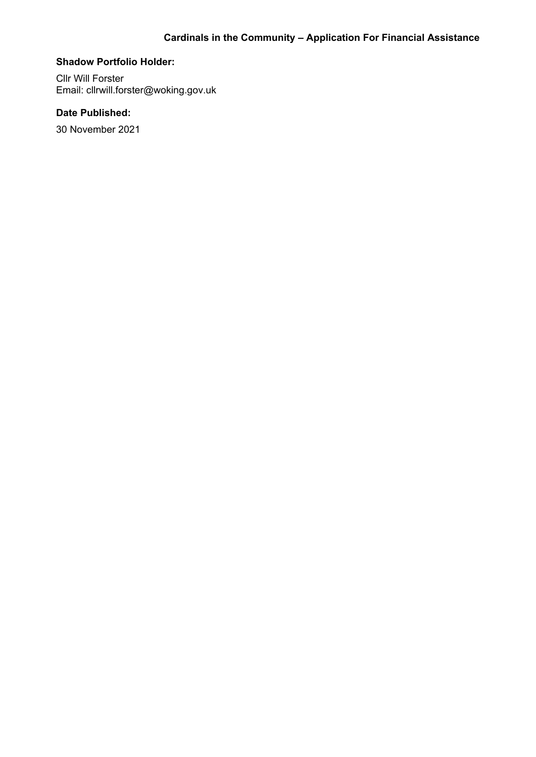#### **Shadow Portfolio Holder:**

Cllr Will Forster Email: cllrwill.forster@woking.gov.uk

# **Date Published:**

30 November 2021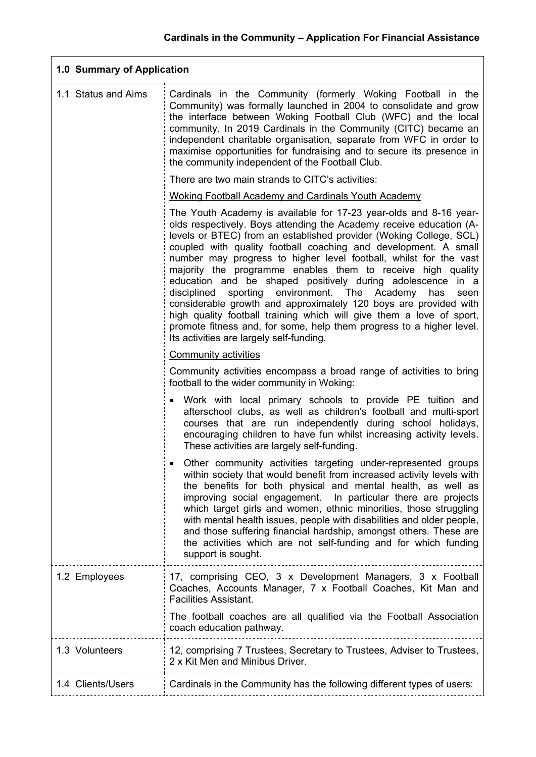| 1.0 Summary of Application  |                                                                                                                                                                                                                                                                                                                                                                                                                                                                                                                                                                                                                                                                                                                                                                                                                              |  |
|-----------------------------|------------------------------------------------------------------------------------------------------------------------------------------------------------------------------------------------------------------------------------------------------------------------------------------------------------------------------------------------------------------------------------------------------------------------------------------------------------------------------------------------------------------------------------------------------------------------------------------------------------------------------------------------------------------------------------------------------------------------------------------------------------------------------------------------------------------------------|--|
| 1.1 Status and Aims         | Cardinals in the Community (formerly Woking Football in the<br>Community) was formally launched in 2004 to consolidate and grow<br>the interface between Woking Football Club (WFC) and the local<br>community. In 2019 Cardinals in the Community (CITC) became an<br>independent charitable organisation, separate from WFC in order to<br>maximise opportunities for fundraising and to secure its presence in<br>the community independent of the Football Club.                                                                                                                                                                                                                                                                                                                                                         |  |
|                             | There are two main strands to CITC's activities:                                                                                                                                                                                                                                                                                                                                                                                                                                                                                                                                                                                                                                                                                                                                                                             |  |
|                             | <b>Woking Football Academy and Cardinals Youth Academy</b>                                                                                                                                                                                                                                                                                                                                                                                                                                                                                                                                                                                                                                                                                                                                                                   |  |
|                             | The Youth Academy is available for 17-23 year-olds and 8-16 year-<br>olds respectively. Boys attending the Academy receive education (A-<br>levels or BTEC) from an established provider (Woking College, SCL)<br>coupled with quality football coaching and development. A small<br>number may progress to higher level football, whilst for the vast<br>majority the programme enables them to receive high quality<br>education and be shaped positively during adolescence<br>in a<br>sporting environment. The<br>disciplined<br>Academy<br>has<br>seen<br>considerable growth and approximately 120 boys are provided with<br>high quality football training which will give them a love of sport,<br>promote fitness and, for some, help them progress to a higher level.<br>Its activities are largely self-funding. |  |
| <b>Community activities</b> |                                                                                                                                                                                                                                                                                                                                                                                                                                                                                                                                                                                                                                                                                                                                                                                                                              |  |
|                             | Community activities encompass a broad range of activities to bring<br>football to the wider community in Woking:                                                                                                                                                                                                                                                                                                                                                                                                                                                                                                                                                                                                                                                                                                            |  |
|                             | Work with local primary schools to provide PE tuition and<br>afterschool clubs, as well as children's football and multi-sport<br>courses that are run independently during school holidays,<br>encouraging children to have fun whilst increasing activity levels.<br>These activities are largely self-funding.                                                                                                                                                                                                                                                                                                                                                                                                                                                                                                            |  |
|                             | Other community activities targeting under-represented groups<br>within society that would benefit from increased activity levels with<br>the benefits for both physical and mental health, as well as<br>improving social engagement. In particular there are projects<br>which target girls and women, ethnic minorities, those struggling<br>with mental health issues, people with disabilities and older people,<br>and those suffering financial hardship, amongst others. These are<br>the activities which are not self-funding and for which funding<br>support is sought.                                                                                                                                                                                                                                          |  |
| 1.2 Employees               | 17, comprising CEO, 3 x Development Managers, 3 x Football<br>Coaches, Accounts Manager, 7 x Football Coaches, Kit Man and<br><b>Facilities Assistant.</b>                                                                                                                                                                                                                                                                                                                                                                                                                                                                                                                                                                                                                                                                   |  |
|                             | The football coaches are all qualified via the Football Association<br>coach education pathway.                                                                                                                                                                                                                                                                                                                                                                                                                                                                                                                                                                                                                                                                                                                              |  |
| 1.3 Volunteers              | 12, comprising 7 Trustees, Secretary to Trustees, Adviser to Trustees,<br>2 x Kit Men and Minibus Driver.                                                                                                                                                                                                                                                                                                                                                                                                                                                                                                                                                                                                                                                                                                                    |  |
| 1.4 Clients/Users           | Cardinals in the Community has the following different types of users:                                                                                                                                                                                                                                                                                                                                                                                                                                                                                                                                                                                                                                                                                                                                                       |  |
|                             |                                                                                                                                                                                                                                                                                                                                                                                                                                                                                                                                                                                                                                                                                                                                                                                                                              |  |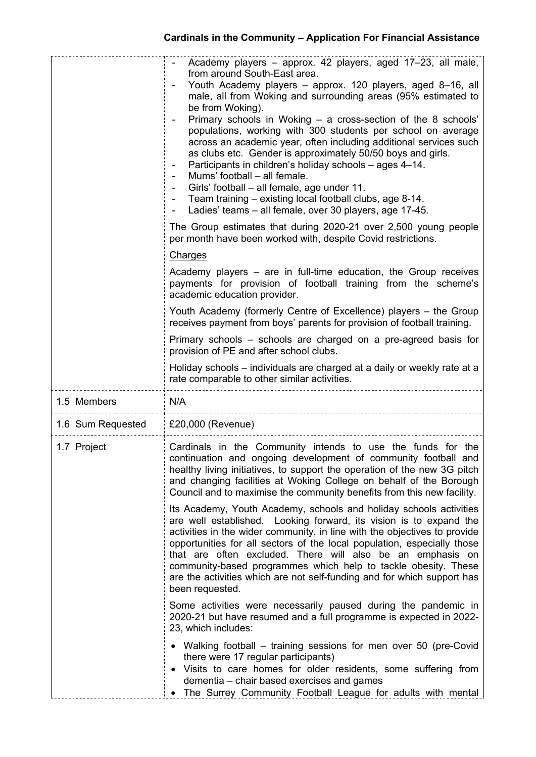|                   | Academy players - approx. 42 players, aged 17-23, all male,<br>from around South-East area.<br>Youth Academy players - approx. 120 players, aged 8-16, all<br>male, all from Woking and surrounding areas (95% estimated to<br>be from Woking).<br>Primary schools in Woking – a cross-section of the 8 schools'<br>populations, working with 300 students per school on average<br>across an academic year, often including additional services such<br>as clubs etc. Gender is approximately 50/50 boys and girls.<br>Participants in children's holiday schools - ages 4-14.<br>Mums' football - all female.<br>Girls' football – all female, age under 11.<br>Team training – existing local football clubs, age 8-14.<br>Ladies' teams – all female, over 30 players, age 17-45. |  |  |
|-------------------|---------------------------------------------------------------------------------------------------------------------------------------------------------------------------------------------------------------------------------------------------------------------------------------------------------------------------------------------------------------------------------------------------------------------------------------------------------------------------------------------------------------------------------------------------------------------------------------------------------------------------------------------------------------------------------------------------------------------------------------------------------------------------------------|--|--|
|                   | The Group estimates that during 2020-21 over 2,500 young people<br>per month have been worked with, despite Covid restrictions.                                                                                                                                                                                                                                                                                                                                                                                                                                                                                                                                                                                                                                                       |  |  |
|                   | Charges                                                                                                                                                                                                                                                                                                                                                                                                                                                                                                                                                                                                                                                                                                                                                                               |  |  |
|                   | Academy players – are in full-time education, the Group receives<br>payments for provision of football training from the scheme's<br>academic education provider.                                                                                                                                                                                                                                                                                                                                                                                                                                                                                                                                                                                                                     |  |  |
|                   | Youth Academy (formerly Centre of Excellence) players - the Group<br>receives payment from boys' parents for provision of football training.                                                                                                                                                                                                                                                                                                                                                                                                                                                                                                                                                                                                                                          |  |  |
|                   | Primary schools – schools are charged on a pre-agreed basis for<br>provision of PE and after school clubs.                                                                                                                                                                                                                                                                                                                                                                                                                                                                                                                                                                                                                                                                            |  |  |
|                   | Holiday schools – individuals are charged at a daily or weekly rate at a<br>rate comparable to other similar activities.                                                                                                                                                                                                                                                                                                                                                                                                                                                                                                                                                                                                                                                              |  |  |
| 1.5 Members       | N/A                                                                                                                                                                                                                                                                                                                                                                                                                                                                                                                                                                                                                                                                                                                                                                                   |  |  |
| 1.6 Sum Requested | £20,000 (Revenue)                                                                                                                                                                                                                                                                                                                                                                                                                                                                                                                                                                                                                                                                                                                                                                     |  |  |
| 1.7 Project       | Cardinals in the Community intends to use the funds for the<br>continuation and ongoing development of community football and<br>healthy living initiatives, to support the operation of the new 3G pitch<br>and changing facilities at Woking College on behalf of the Borough<br>Council and to maximise the community benefits from this new facility.                                                                                                                                                                                                                                                                                                                                                                                                                             |  |  |
|                   | Its Academy, Youth Academy, schools and holiday schools activities<br>are well established. Looking forward, its vision is to expand the<br>activities in the wider community, in line with the objectives to provide<br>opportunities for all sectors of the local population, especially those<br>that are often excluded. There will also be an emphasis on<br>community-based programmes which help to tackle obesity. These<br>are the activities which are not self-funding and for which support has<br>been requested.                                                                                                                                                                                                                                                        |  |  |
|                   | Some activities were necessarily paused during the pandemic in<br>2020-21 but have resumed and a full programme is expected in 2022-<br>23, which includes:                                                                                                                                                                                                                                                                                                                                                                                                                                                                                                                                                                                                                           |  |  |
|                   | • Walking football – training sessions for men over 50 (pre-Covid<br>there were 17 regular participants)<br>• Visits to care homes for older residents, some suffering from<br>dementia – chair based exercises and games<br>The Surrey Community Football League for adults with mental                                                                                                                                                                                                                                                                                                                                                                                                                                                                                              |  |  |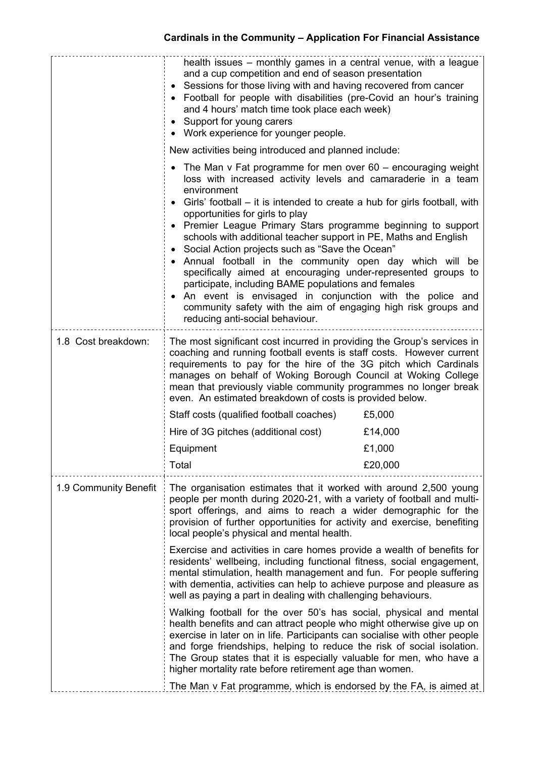|                       | health issues – monthly games in a central venue, with a league<br>and a cup competition and end of season presentation<br>• Sessions for those living with and having recovered from cancer<br>• Football for people with disabilities (pre-Covid an hour's training<br>and 4 hours' match time took place each week)<br>• Support for young carers<br>• Work experience for younger people.                                                                                                                                                                                                                                                                                                                                                                                                                                                                            |         |  |
|-----------------------|--------------------------------------------------------------------------------------------------------------------------------------------------------------------------------------------------------------------------------------------------------------------------------------------------------------------------------------------------------------------------------------------------------------------------------------------------------------------------------------------------------------------------------------------------------------------------------------------------------------------------------------------------------------------------------------------------------------------------------------------------------------------------------------------------------------------------------------------------------------------------|---------|--|
|                       | New activities being introduced and planned include:<br>The Man $v$ Fat programme for men over 60 – encouraging weight<br>loss with increased activity levels and camaraderie in a team<br>environment<br>• Girls' football – it is intended to create a hub for girls football, with<br>opportunities for girls to play<br>• Premier League Primary Stars programme beginning to support<br>schools with additional teacher support in PE, Maths and English<br>• Social Action projects such as "Save the Ocean"<br>• Annual football in the community open day which will be<br>specifically aimed at encouraging under-represented groups to<br>participate, including BAME populations and females<br>An event is envisaged in conjunction with the police and<br>community safety with the aim of engaging high risk groups and<br>reducing anti-social behaviour. |         |  |
| 1.8 Cost breakdown:   | The most significant cost incurred in providing the Group's services in<br>coaching and running football events is staff costs. However current<br>requirements to pay for the hire of the 3G pitch which Cardinals<br>manages on behalf of Woking Borough Council at Woking College<br>mean that previously viable community programmes no longer break<br>even. An estimated breakdown of costs is provided below.<br>Staff costs (qualified football coaches)<br>£5,000<br>Hire of 3G pitches (additional cost)<br>£14,000                                                                                                                                                                                                                                                                                                                                            |         |  |
|                       | Equipment                                                                                                                                                                                                                                                                                                                                                                                                                                                                                                                                                                                                                                                                                                                                                                                                                                                                | £1,000  |  |
|                       | Total                                                                                                                                                                                                                                                                                                                                                                                                                                                                                                                                                                                                                                                                                                                                                                                                                                                                    | £20,000 |  |
| 1.9 Community Benefit | The organisation estimates that it worked with around 2,500 young<br>people per month during 2020-21, with a variety of football and multi-<br>sport offerings, and aims to reach a wider demographic for the<br>provision of further opportunities for activity and exercise, benefiting<br>local people's physical and mental health.                                                                                                                                                                                                                                                                                                                                                                                                                                                                                                                                  |         |  |
|                       | Exercise and activities in care homes provide a wealth of benefits for<br>residents' wellbeing, including functional fitness, social engagement,<br>mental stimulation, health management and fun. For people suffering<br>with dementia, activities can help to achieve purpose and pleasure as<br>well as paying a part in dealing with challenging behaviours.                                                                                                                                                                                                                                                                                                                                                                                                                                                                                                        |         |  |
|                       | Walking football for the over 50's has social, physical and mental<br>health benefits and can attract people who might otherwise give up on<br>exercise in later on in life. Participants can socialise with other people<br>and forge friendships, helping to reduce the risk of social isolation.<br>The Group states that it is especially valuable for men, who have a<br>higher mortality rate before retirement age than women.                                                                                                                                                                                                                                                                                                                                                                                                                                    |         |  |
|                       | The Man v Fat programme, which is endorsed by the FA, is aimed at                                                                                                                                                                                                                                                                                                                                                                                                                                                                                                                                                                                                                                                                                                                                                                                                        |         |  |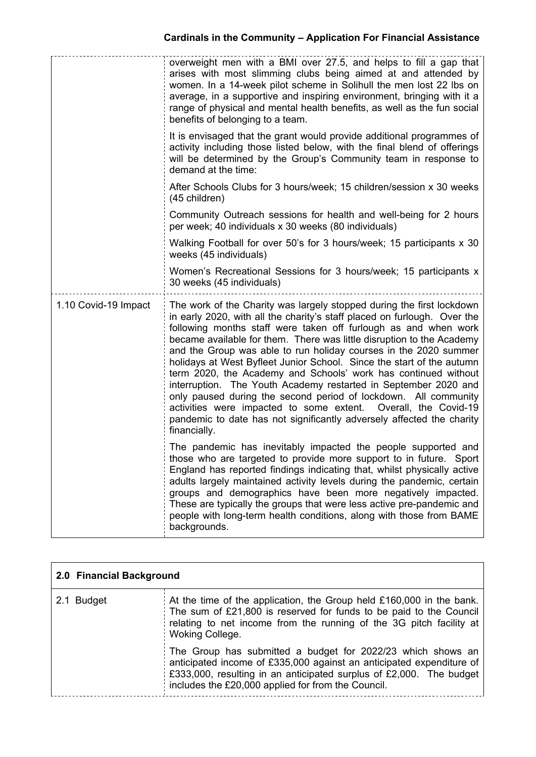|                      | overweight men with a BMI over 27.5, and helps to fill a gap that<br>arises with most slimming clubs being aimed at and attended by<br>women. In a 14-week pilot scheme in Solihull the men lost 22 lbs on<br>average, in a supportive and inspiring environment, bringing with it a<br>range of physical and mental health benefits, as well as the fun social<br>benefits of belonging to a team.                                                                                                                                                                                                                                                                                                                                                                                                           |
|----------------------|---------------------------------------------------------------------------------------------------------------------------------------------------------------------------------------------------------------------------------------------------------------------------------------------------------------------------------------------------------------------------------------------------------------------------------------------------------------------------------------------------------------------------------------------------------------------------------------------------------------------------------------------------------------------------------------------------------------------------------------------------------------------------------------------------------------|
|                      | It is envisaged that the grant would provide additional programmes of<br>activity including those listed below, with the final blend of offerings<br>will be determined by the Group's Community team in response to<br>demand at the time:                                                                                                                                                                                                                                                                                                                                                                                                                                                                                                                                                                   |
|                      | After Schools Clubs for 3 hours/week; 15 children/session x 30 weeks<br>(45 children)                                                                                                                                                                                                                                                                                                                                                                                                                                                                                                                                                                                                                                                                                                                         |
|                      | Community Outreach sessions for health and well-being for 2 hours<br>per week; 40 individuals x 30 weeks (80 individuals)                                                                                                                                                                                                                                                                                                                                                                                                                                                                                                                                                                                                                                                                                     |
|                      | Walking Football for over 50's for 3 hours/week; 15 participants x 30<br>weeks (45 individuals)                                                                                                                                                                                                                                                                                                                                                                                                                                                                                                                                                                                                                                                                                                               |
|                      | Women's Recreational Sessions for 3 hours/week; 15 participants x<br>30 weeks (45 individuals)                                                                                                                                                                                                                                                                                                                                                                                                                                                                                                                                                                                                                                                                                                                |
| 1.10 Covid-19 Impact | The work of the Charity was largely stopped during the first lockdown<br>in early 2020, with all the charity's staff placed on furlough. Over the<br>following months staff were taken off furlough as and when work<br>became available for them. There was little disruption to the Academy<br>and the Group was able to run holiday courses in the 2020 summer<br>holidays at West Byfleet Junior School. Since the start of the autumn<br>term 2020, the Academy and Schools' work has continued without<br>interruption. The Youth Academy restarted in September 2020 and<br>only paused during the second period of lockdown. All community<br>activities were impacted to some extent. Overall, the Covid-19<br>pandemic to date has not significantly adversely affected the charity<br>financially. |
|                      | The pandemic has inevitably impacted the people supported and<br>those who are targeted to provide more support to in future. Sport<br>England has reported findings indicating that, whilst physically active<br>adults largely maintained activity levels during the pandemic, certain<br>groups and demographics have been more negatively impacted.<br>These are typically the groups that were less active pre-pandemic and<br>people with long-term health conditions, along with those from BAME<br>backgrounds.                                                                                                                                                                                                                                                                                       |

| 2.0 Financial Background |                                                                                                                                                                                                                                                                  |  |
|--------------------------|------------------------------------------------------------------------------------------------------------------------------------------------------------------------------------------------------------------------------------------------------------------|--|
| 2.1 Budget               | At the time of the application, the Group held £160,000 in the bank.<br>The sum of £21,800 is reserved for funds to be paid to the Council<br>relating to net income from the running of the 3G pitch facility at<br>Woking College.                             |  |
|                          | The Group has submitted a budget for 2022/23 which shows an<br>anticipated income of £335,000 against an anticipated expenditure of<br>£333,000, resulting in an anticipated surplus of £2,000. The budget<br>includes the £20,000 applied for from the Council. |  |